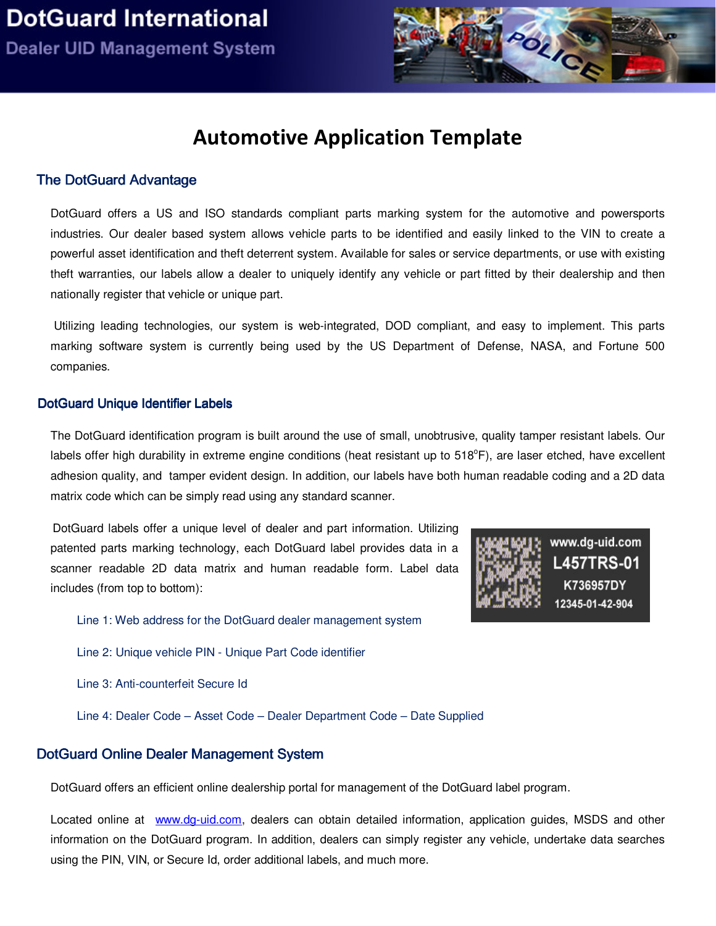

# Automotive Application Template

### The D otG uard Advantage

DotGuard offers a US and ISO standards compliant parts marking system for the automotive and powersports industries. Our dealer based system allows vehicle parts to be identified and easily linked to the VIN to create a powerful asset identification and theft deterrent system. Available for sales or service departments, or use with existing theft warranties, our labels allow a dealer to uniquely identify any vehicle or part fitted by their dealership and then nationally register that vehicle or unique part.

 Utilizing leading technologies, our system is web-integrated, DOD compliant, and easy to implement. This parts marking software system is currently being used by the US Department of Defense, NASA, and Fortune 500 companies.

#### DotGuard Unique Identifier Labels

The DotGuard identification program is built around the use of small, unobtrusive, quality tamper resistant labels. Our labels offer high durability in extreme engine conditions (heat resistant up to 518°F), are laser etched, have excellent adhesion quality, and tamper evident design. In addition, our labels have both human readable coding and a 2D data matrix code which can be simply read using any standard scanner.

DotGuard labels offer a unique level of dealer and part information. Utilizing patented parts marking technology, each DotGuard label provides data in a scanner readable 2D data matrix and human readable form. Label data includes (from top to bottom):



Line 1: Web address for the DotGuard dealer management system

Line 2: Unique vehicle PIN - Unique Part Code identifier

Line 3: Anti-counterfeit Secure Id

Line 4: Dealer Code – Asset Code – Dealer Department Code – Date Supplied

### DotGuard Online Dealer Management System

DotGuard offers an efficient online dealership portal for management of the DotGuard label program.

Located online at www.dg-uid.com, dealers can obtain detailed information, application guides, MSDS and other information on the DotGuard program. In addition, dealers can simply register any vehicle, undertake data searches using the PIN, VIN, or Secure Id, order additional labels, and much more.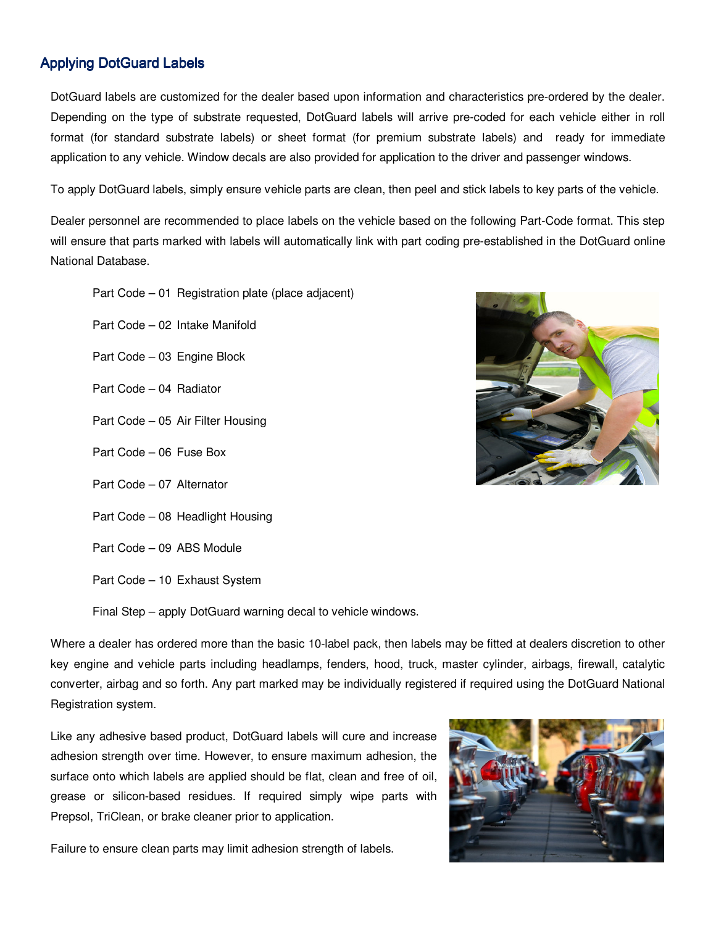## **Applying DotGuard Labels**

DotGuard labels are customized for the dealer based upon information and characteristics pre-ordered by the dealer. Depending on the type of substrate requested, DotGuard labels will arrive pre-coded for each vehicle either in roll format (for standard substrate labels) or sheet format (for premium substrate labels) and ready for immediate application to any vehicle. Window decals are also provided for application to the driver and passenger windows.

To apply DotGuard labels, simply ensure vehicle parts are clean, then peel and stick labels to key parts of the vehicle.

Dealer personnel are recommended to place labels on the vehicle based on the following Part-Code format. This step will ensure that parts marked with labels will automatically link with part coding pre-established in the DotGuard online National Database.

Part Code – 01 Registration plate (place adjacent)

Part Code – 02 Intake Manifold

- Part Code 03 Engine Block
- Part Code 04 Radiator
- Part Code 05 Air Filter Housing
- Part Code 06 Fuse Box
- Part Code 07 Alternator
- Part Code 08 Headlight Housing
- Part Code 09 ABS Module

Part Code – 10 Exhaust System

Final Step – apply DotGuard warning decal to vehicle windows.

Where a dealer has ordered more than the basic 10-label pack, then labels may be fitted at dealers discretion to other key engine and vehicle parts including headlamps, fenders, hood, truck, master cylinder, airbags, firewall, catalytic converter, airbag and so forth. Any part marked may be individually registered if required using the DotGuard National Registration system.

Like any adhesive based product, DotGuard labels will cure and increase adhesion strength over time. However, to ensure maximum adhesion, the surface onto which labels are applied should be flat, clean and free of oil, grease or silicon-based residues. If required simply wipe parts with Prepsol, TriClean, or brake cleaner prior to application.

Failure to ensure clean parts may limit adhesion strength of labels.